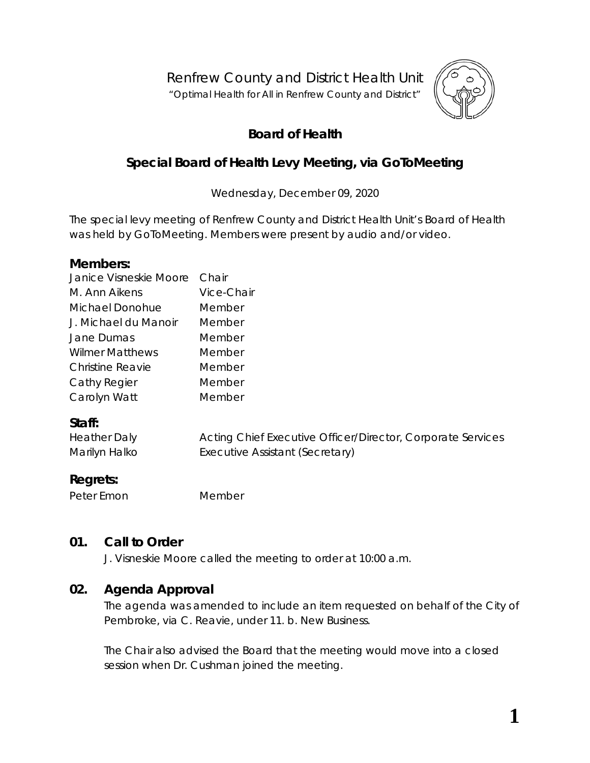Renfrew County and District Health Unit

"*Optimal Health for All in Renfrew County and District"*



# **Board of Health**

# **Special Board of Health Levy Meeting, via GoToMeeting**

Wednesday, December 09, 2020

The special levy meeting of Renfrew County and District Health Unit's Board of Health was held by *GoToMeeting*. Members were present by audio and/or video.

#### **Members:**

| Janice Visneskie Moore  | Chair      |
|-------------------------|------------|
| M. Ann Aikens           | Vice-Chair |
| Michael Donohue         | Member     |
| J. Michael du Manoir    | Member     |
| Jane Dumas              | Member     |
| Wilmer Matthews         | Member     |
| <b>Christine Reavie</b> | Member     |
| Cathy Regier            | Member     |
| Carolyn Watt            | Member     |
| <b>Ctaff</b> ۰          |            |

### **Staff:**

| <b>Heather Daly</b> | Acting Chief Executive Officer/Director, Corporate Services |
|---------------------|-------------------------------------------------------------|
| Marilyn Halko       | Executive Assistant (Secretary)                             |

# **Regrets:**

Peter Emon Member

# **01. Call to Order**

J. Visneskie Moore called the meeting to order at 10:00 a.m.

# **02. Agenda Approval**

The agenda was amended to include an item requested on behalf of the City of Pembroke, via C. Reavie, under 11. b. New Business.

The Chair also advised the Board that the meeting would move into a closed session when Dr. Cushman joined the meeting.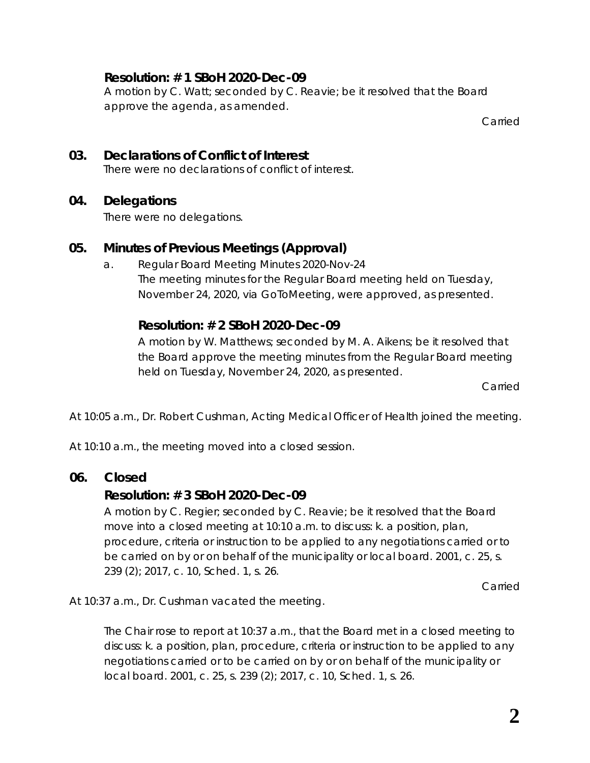# **Resolution: # 1 SBoH 2020-Dec-09**

A motion by C. Watt; seconded by C. Reavie; be it resolved that the Board approve the agenda, as amended.

Carried

### **03. Declarations of Conflict of Interest** There were no declarations of conflict of interest.

### **04. Delegations**

There were no delegations.

# **05. Minutes of Previous Meetings (Approval)**

a. Regular Board Meeting Minutes 2020-Nov-24 The meeting minutes for the Regular Board meeting held on Tuesday, November 24, 2020, via *GoToMeeting*, were approved, as presented.

# **Resolution: # 2 SBoH 2020-Dec-09**

A motion by W. Matthews; seconded by M. A. Aikens; be it resolved that the Board approve the meeting minutes from the Regular Board meeting held on Tuesday, November 24, 2020, as presented.

Carried

At 10:05 a.m., Dr. Robert Cushman, Acting Medical Officer of Health joined the meeting.

At 10:10 a.m., the meeting moved into a closed session.

# **06. Closed**

# **Resolution: # 3 SBoH 2020-Dec-09**

A motion by C. Regier; seconded by C. Reavie; be it resolved that the Board move into a closed meeting at 10:10 a.m. to discuss: k. a position, plan, procedure, criteria or instruction to be applied to any negotiations carried or to be carried on by or on behalf of the municipality or local board. 2001, c. 25, s. 239 (2); 2017, c. 10, Sched. 1, s. 26.

**Carried** 

At 10:37 a.m., Dr. Cushman vacated the meeting.

The Chair rose to report at 10:37 a.m., that the Board met in a closed meeting to discuss: k. a position, plan, procedure, criteria or instruction to be applied to any negotiations carried or to be carried on by or on behalf of the municipality or local board. 2001, c. 25, s. 239 (2); 2017, c. 10, Sched. 1, s. 26.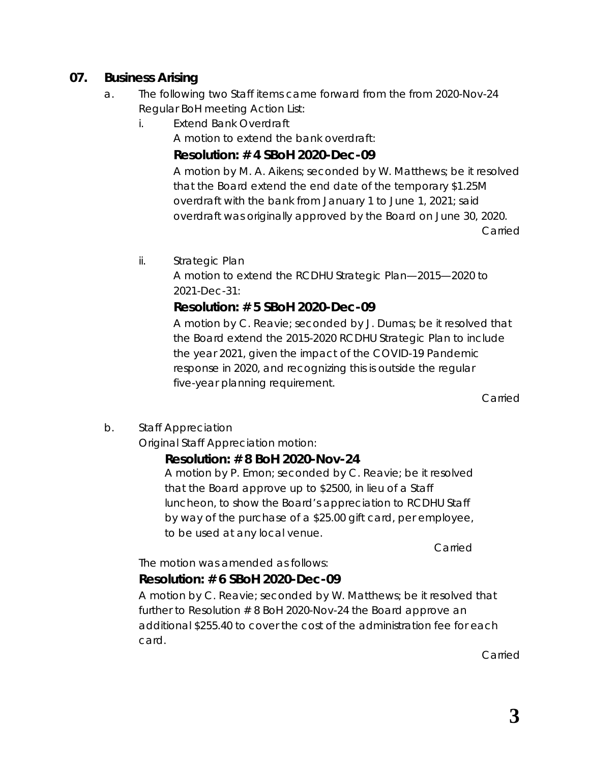# **07. Business Arising**

- a. The following two Staff items came forward from the from 2020-Nov-24 Regular BoH meeting Action List:
	- i. Extend Bank Overdraft

A motion to extend the bank overdraft:

### **Resolution: # 4 SBoH 2020-Dec-09**

A motion by M. A. Aikens; seconded by W. Matthews; be it resolved that the Board extend the end date of the temporary \$1.25M overdraft with the bank from January 1 to June 1, 2021; said overdraft was originally approved by the Board on June 30, 2020. Carried

ii. Strategic Plan

A motion to extend the RCDHU Strategic Plan—2015—2020 to 2021-Dec-31:

# **Resolution: # 5 SBoH 2020-Dec-09**

A motion by C. Reavie; seconded by J. Dumas; be it resolved that the Board extend the 2015-2020 RCDHU Strategic Plan to include the year 2021, given the impact of the COVID-19 Pandemic response in 2020, and recognizing this is outside the regular five-year planning requirement.

Carried

b. Staff Appreciation

Original Staff Appreciation motion:

# *Resolution: # 8 BoH 2020-Nov-24*

*A motion by P. Emon; seconded by C. Reavie; be it resolved that the Board approve up to \$2500, in lieu of a Staff luncheon, to show the Board's appreciation to RCDHU Staff by way of the purchase of a \$25.00 gift card, per employee, to be used at any local venue.* 

*Carried*

The motion was amended as follows:

# **Resolution: # 6 SBoH 2020-Dec-09**

A motion by C. Reavie; seconded by W. Matthews; be it resolved that further to Resolution # 8 BoH 2020-Nov-24 the Board approve an additional \$255.40 to cover the cost of the administration fee for each card.

Carried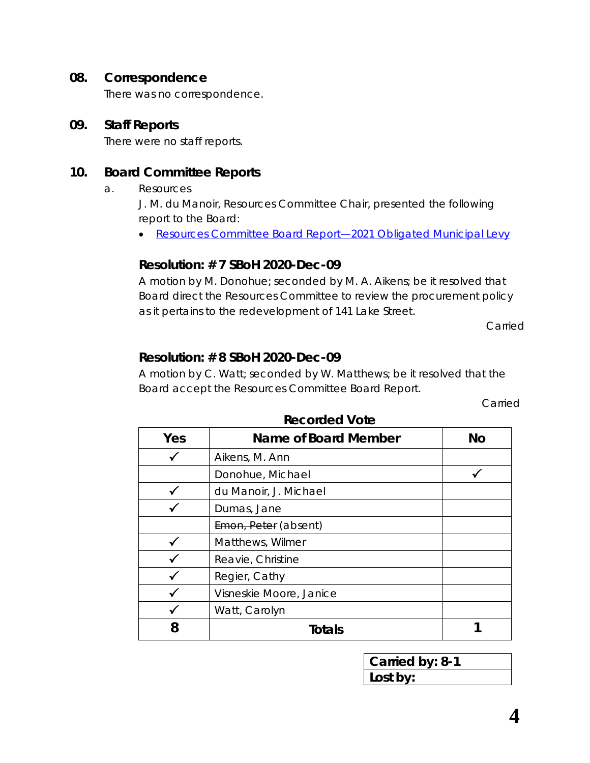#### **08. Correspondence**

There was no correspondence.

#### **09. Staff Reports**

There were no staff reports.

### **10. Board Committee Reports**

a. Resources

J. M. du Manoir, Resources Committee Chair, presented the following report to the Board:

• [Resources Committee Board Report—2021 Obligated Municipal Levy](https://www.rcdhu.com/wp-content/uploads/2021/02/Resources-Committee-Board-Report-2020-Dec-09.pdf)

### **Resolution: # 7 SBoH 2020-Dec-09**

A motion by M. Donohue; seconded by M. A. Aikens; be it resolved that Board direct the Resources Committee to review the procurement policy as it pertains to the redevelopment of 141 Lake Street.

Carried

### **Resolution: # 8 SBoH 2020-Dec-09**

A motion by C. Watt; seconded by W. Matthews; be it resolved that the Board accept the Resources Committee Board Report.

Carried

| Yes | Name of Board Member    | <b>No</b> |
|-----|-------------------------|-----------|
|     | Aikens, M. Ann          |           |
|     | Donohue, Michael        |           |
|     | du Manoir, J. Michael   |           |
|     | Dumas, Jane             |           |
|     | Emon, Peter (absent)    |           |
|     | Matthews, Wilmer        |           |
|     | Reavie, Christine       |           |
|     | Regier, Cathy           |           |
|     | Visneskie Moore, Janice |           |
|     | Watt, Carolyn           |           |
| 8   | <b>Totals</b>           |           |

**Recorded Vote**

**Carried by: 8-1 Lost by:**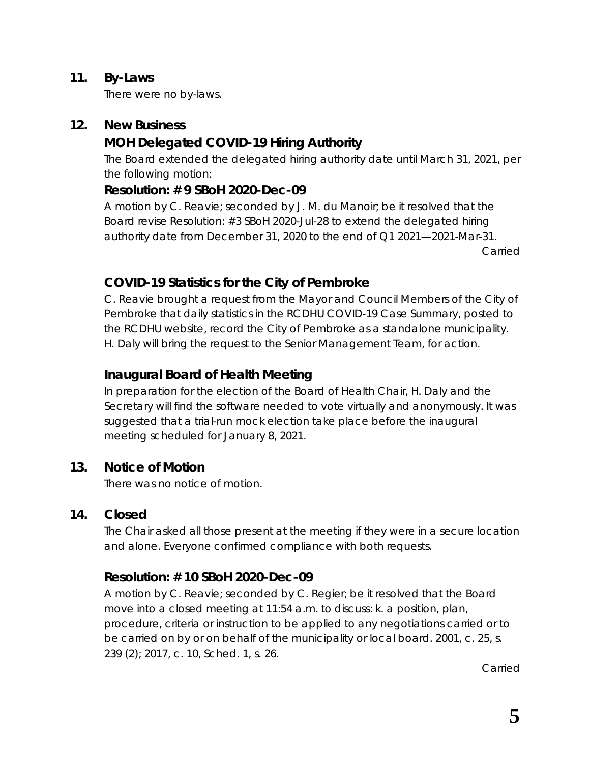### **11. By-Laws**

There were no by-laws.

### **12. New Business**

# **MOH Delegated COVID-19 Hiring Authority**

The Board extended the delegated hiring authority date until March 31, 2021, per the following motion:

### **Resolution: # 9 SBoH 2020-Dec-09**

A motion by C. Reavie; seconded by J. M. du Manoir; be it resolved that the Board revise Resolution: #3 SBoH 2020-Jul-28 to extend the delegated hiring authority date from December 31, 2020 to the end of Q1 2021—2021-Mar-31.

Carried

# **COVID-19 Statistics for the City of Pembroke**

C. Reavie brought a request from the Mayor and Council Members of the City of Pembroke that daily statistics in the RCDHU COVID-19 Case Summary, posted to the RCDHU website, record the City of Pembroke as a standalone municipality. H. Daly will bring the request to the Senior Management Team, for action.

# **Inaugural Board of Health Meeting**

In preparation for the election of the Board of Health Chair, H. Daly and the Secretary will find the software needed to vote virtually and anonymously. It was suggested that a trial-run mock election take place before the inaugural meeting scheduled for January 8, 2021.

# **13. Notice of Motion**

There was no notice of motion.

# **14. Closed**

The Chair asked all those present at the meeting if they were in a secure location and alone. Everyone confirmed compliance with both requests.

# **Resolution: # 10 SBoH 2020-Dec-09**

A motion by C. Reavie; seconded by C. Regier; be it resolved that the Board move into a closed meeting at 11:54 a.m. to discuss: k. a position, plan, procedure, criteria or instruction to be applied to any negotiations carried or to be carried on by or on behalf of the municipality or local board. 2001, c. 25, s. 239 (2); 2017, c. 10, Sched. 1, s. 26.

Carried